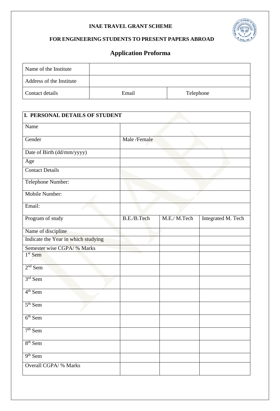## **INAE TRAVEL GRANT SCHEME**



## **FOR ENGINEERING STUDENTS TO PRESENT PAPERS ABROAD**

## **Application Proforma**

| Name of the Institute    |       |           |
|--------------------------|-------|-----------|
| Address of the Institute |       |           |
| Contact details          | Email | Telephone |

| I. PERSONAL DETAILS OF STUDENT      |              |             |                    |
|-------------------------------------|--------------|-------------|--------------------|
| Name                                |              |             |                    |
| Gender                              | Male /Female |             |                    |
| Date of Birth (dd/mm/yyyy)          |              |             |                    |
| Age                                 |              |             |                    |
| <b>Contact Details</b>              |              |             |                    |
| Telephone Number:                   |              |             |                    |
| Mobile Number:                      |              |             |                    |
| Email:                              |              |             |                    |
| Program of study                    | B.E./B.Tech  | M.E./M.Tech | Integrated M. Tech |
| Name of discipline                  |              |             |                    |
| Indicate the Year in which studying |              |             |                    |
| Semester wise CGPA/ % Marks         |              |             |                    |
| $1st$ Sem                           |              |             |                    |
| $2nd$ Sem                           |              |             |                    |
| $3rd$ Sem                           |              |             |                    |
| $4th$ Sem                           |              |             |                    |
| $5th$ Sem                           |              |             |                    |
| $6th$ Sem                           |              |             |                    |
| $7th$ Sem                           |              |             |                    |
| $8th$ Sem                           |              |             |                    |
| 9 <sup>th</sup> Sem                 |              |             |                    |
| Overall CGPA/ % Marks               |              |             |                    |
|                                     |              |             |                    |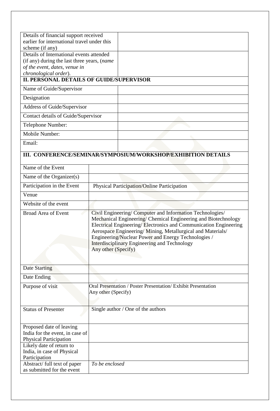| Details of financial support received<br>earlier for international travel under this         |                                                                                                                                                                                                                                                                                                                                                                                              |                                                               |  |
|----------------------------------------------------------------------------------------------|----------------------------------------------------------------------------------------------------------------------------------------------------------------------------------------------------------------------------------------------------------------------------------------------------------------------------------------------------------------------------------------------|---------------------------------------------------------------|--|
| scheme (if any)                                                                              |                                                                                                                                                                                                                                                                                                                                                                                              |                                                               |  |
| Details of International events attended                                                     |                                                                                                                                                                                                                                                                                                                                                                                              |                                                               |  |
| (if any) during the last three years, (name                                                  |                                                                                                                                                                                                                                                                                                                                                                                              |                                                               |  |
| of the event, dates, venue in                                                                |                                                                                                                                                                                                                                                                                                                                                                                              |                                                               |  |
| chronological order).                                                                        |                                                                                                                                                                                                                                                                                                                                                                                              |                                                               |  |
| <b>II. PERSONAL DETAILS OF GUIDE/SUPERVISOR</b>                                              |                                                                                                                                                                                                                                                                                                                                                                                              |                                                               |  |
| Name of Guide/Supervisor                                                                     |                                                                                                                                                                                                                                                                                                                                                                                              |                                                               |  |
| Designation                                                                                  |                                                                                                                                                                                                                                                                                                                                                                                              |                                                               |  |
| Address of Guide/Supervisor                                                                  |                                                                                                                                                                                                                                                                                                                                                                                              |                                                               |  |
| Contact details of Guide/Supervisor                                                          |                                                                                                                                                                                                                                                                                                                                                                                              |                                                               |  |
| Telephone Number:                                                                            |                                                                                                                                                                                                                                                                                                                                                                                              |                                                               |  |
| Mobile Number:                                                                               |                                                                                                                                                                                                                                                                                                                                                                                              |                                                               |  |
| Email:                                                                                       |                                                                                                                                                                                                                                                                                                                                                                                              |                                                               |  |
|                                                                                              |                                                                                                                                                                                                                                                                                                                                                                                              | III. CONFERENCE/SEMINAR/SYMPOSIUM/WORKSHOP/EXHIBITION DETAILS |  |
|                                                                                              |                                                                                                                                                                                                                                                                                                                                                                                              |                                                               |  |
| Name of the Event                                                                            |                                                                                                                                                                                                                                                                                                                                                                                              |                                                               |  |
| Name of the Organizer(s)                                                                     |                                                                                                                                                                                                                                                                                                                                                                                              |                                                               |  |
| Participation in the Event                                                                   |                                                                                                                                                                                                                                                                                                                                                                                              | Physical Participation/Online Participation                   |  |
| Venue                                                                                        |                                                                                                                                                                                                                                                                                                                                                                                              |                                                               |  |
| Website of the event                                                                         |                                                                                                                                                                                                                                                                                                                                                                                              |                                                               |  |
| <b>Broad Area of Event</b>                                                                   | Civil Engineering/ Computer and Information Technologies/<br>Mechanical Engineering/ Chemical Engineering and Biotechnology<br>Electrical Engineering/Electronics and Communication Engineering<br>Aerospace Engineering/ Mining, Metallurgical and Materials/<br>Engineering/Nuclear Power and Energy Technologies /<br>Interdisciplinary Engineering and Technology<br>Any other (Specify) |                                                               |  |
| <b>Date Starting</b>                                                                         |                                                                                                                                                                                                                                                                                                                                                                                              |                                                               |  |
| Date Ending                                                                                  |                                                                                                                                                                                                                                                                                                                                                                                              |                                                               |  |
| Purpose of visit                                                                             |                                                                                                                                                                                                                                                                                                                                                                                              | Oral Presentation / Poster Presentation/ Exhibit Presentation |  |
|                                                                                              | Any other (Specify)                                                                                                                                                                                                                                                                                                                                                                          |                                                               |  |
|                                                                                              |                                                                                                                                                                                                                                                                                                                                                                                              |                                                               |  |
| <b>Status of Presenter</b>                                                                   |                                                                                                                                                                                                                                                                                                                                                                                              | Single author / One of the authors                            |  |
| Proposed date of leaving<br>India for the event, in case of<br><b>Physical Participation</b> |                                                                                                                                                                                                                                                                                                                                                                                              |                                                               |  |
| Likely date of return to                                                                     |                                                                                                                                                                                                                                                                                                                                                                                              |                                                               |  |
| India, in case of Physical                                                                   |                                                                                                                                                                                                                                                                                                                                                                                              |                                                               |  |
| Participation<br>Abstract/ full text of paper                                                | To be enclosed                                                                                                                                                                                                                                                                                                                                                                               |                                                               |  |
| as submitted for the event                                                                   |                                                                                                                                                                                                                                                                                                                                                                                              |                                                               |  |
|                                                                                              |                                                                                                                                                                                                                                                                                                                                                                                              |                                                               |  |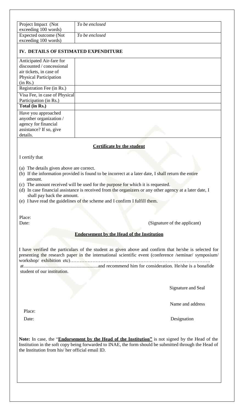| Project Impact (Not                             |                                                                                                                                                                                                               |
|-------------------------------------------------|---------------------------------------------------------------------------------------------------------------------------------------------------------------------------------------------------------------|
| exceeding 100 words)                            | To be enclosed                                                                                                                                                                                                |
| Expected outcome (Not<br>exceeding 100 words)   | To be enclosed                                                                                                                                                                                                |
| IV. DETAILS OF ESTIMATED EXPENDITURE            |                                                                                                                                                                                                               |
| Anticipated Air-fare for                        |                                                                                                                                                                                                               |
| discounted / concessional                       |                                                                                                                                                                                                               |
| air tickets, in case of                         |                                                                                                                                                                                                               |
| <b>Physical Participation</b>                   |                                                                                                                                                                                                               |
| (in Rs.)                                        |                                                                                                                                                                                                               |
| Registration Fee (in Rs.)                       |                                                                                                                                                                                                               |
| Visa Fee, in case of Physical                   |                                                                                                                                                                                                               |
| Participation (in Rs.)<br>Total (in Rs.)        |                                                                                                                                                                                                               |
| Have you approached                             |                                                                                                                                                                                                               |
| anyother organization /                         |                                                                                                                                                                                                               |
| agency for financial                            |                                                                                                                                                                                                               |
| assistance? If so, give                         |                                                                                                                                                                                                               |
| details.                                        |                                                                                                                                                                                                               |
|                                                 | <b>Certificate by the student</b>                                                                                                                                                                             |
|                                                 |                                                                                                                                                                                                               |
| I certify that                                  |                                                                                                                                                                                                               |
| (a) The details given above are correct.        |                                                                                                                                                                                                               |
|                                                 | (b) If the information provided is found to be incorrect at a later date, I shall return the entire                                                                                                           |
| amount.                                         |                                                                                                                                                                                                               |
|                                                 | (c) The amount received will be used for the purpose for which it is requested.                                                                                                                               |
|                                                 | (d) In case financial assistance is received from the organizers or any other agency at a later date, I                                                                                                       |
| shall pay back the amount.                      |                                                                                                                                                                                                               |
|                                                 | (e) I have read the guidelines of the scheme and I confirm I fulfill them.                                                                                                                                    |
|                                                 |                                                                                                                                                                                                               |
| Place:                                          |                                                                                                                                                                                                               |
| Date:                                           | (Signature of the applicant)                                                                                                                                                                                  |
|                                                 | <b>Endorsement by the Head of the Institution</b>                                                                                                                                                             |
|                                                 |                                                                                                                                                                                                               |
|                                                 |                                                                                                                                                                                                               |
|                                                 | I have verified the particulars of the student as given above and confirm that he/she is selected for<br>presenting the research paper in the international scientific event (conference /seminar/ symposium/ |
|                                                 |                                                                                                                                                                                                               |
|                                                 |                                                                                                                                                                                                               |
| student of our institution.                     |                                                                                                                                                                                                               |
|                                                 |                                                                                                                                                                                                               |
|                                                 |                                                                                                                                                                                                               |
|                                                 | Signature and Seal                                                                                                                                                                                            |
|                                                 |                                                                                                                                                                                                               |
|                                                 | Name and address                                                                                                                                                                                              |
|                                                 |                                                                                                                                                                                                               |
| Place:                                          |                                                                                                                                                                                                               |
| Date:                                           | Designation                                                                                                                                                                                                   |
|                                                 | Note: In case, the "Endorsement by the Head of the Institution" is not signed by the Head of the<br>Institution in the soft copy being forwarded to INAE, the form should be submitted through the Head of    |
| the Institution from his/her official email ID. |                                                                                                                                                                                                               |
|                                                 |                                                                                                                                                                                                               |